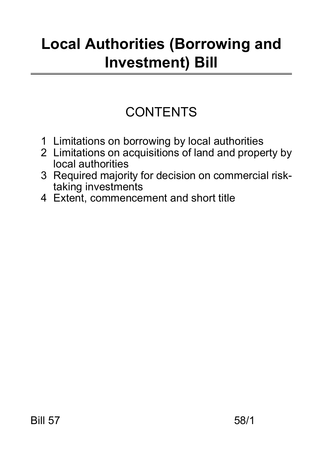# **Local Authorities (Borrowing and Investment) Bill**

## **CONTENTS**

- 1 Limitations on borrowing by local authorities
- 2 Limitations on acquisitions of land and property by local authorities
- 3 Required majority for decision on commercial risktaking investments
- 4 Extent, commencement and short title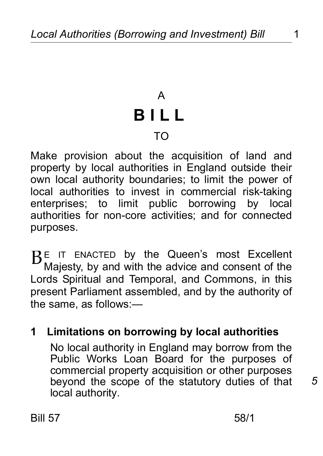## A **BILL** TO

Make provision about the acquisition of land and property by local authorities in England outside their own local authority boundaries; to limit the power of local authorities to invest in commercial risk-taking enterprises; to limit public borrowing by local authorities for non-core activities; and for connected purposes.

 $B<sup>E</sup>$  IT ENACTED by the Queen's most Excellent Majesty, by and with the advice and consent of the Lords Spiritual and Temporal, and Commons, in this present Parliament assembled, and by the authority of the same, as follows:—

#### **1 Limitations on borrowing by local authorities**

 No local authority in England may borrow from the Public Works Loan Board for the purposes of commercial property acquisition or other purposes beyond the scope of the statutory duties of that local authority.

Bill 57 58/1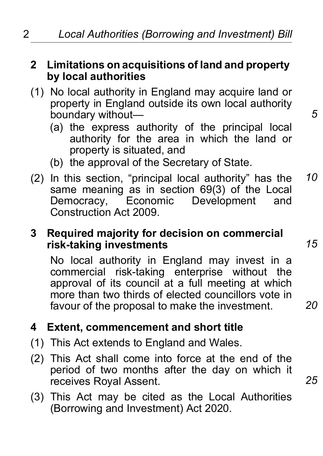#### **2 Limitations on acquisitions of land and property by local authorities**

- (1) No local authority in England may acquire land or property in England outside its own local authority boundary without—
	- (a) the express authority of the principal local authority for the area in which the land or property is situated, and
	- (b) the approval of the Secretary of State.
- (2) In this section, "principal local authority" has the same meaning as in section 69(3) of the Local<br>Democracy. Economic Development and Economic Development and Construction Act 2009. *10*

#### **3 Required majority for decision on commercial risk-taking investments**

 No local authority in England may invest in a commercial risk-taking enterprise without the approval of its council at a full meeting at which more than two thirds of elected councillors vote in favour of the proposal to make the investment.

#### **4 Extent, commencement and short title**

- (1) This Act extends to England and Wales.
- (2) This Act shall come into force at the end of the period of two months after the day on which it receives Royal Assent.
- (3) This Act may be cited as the Local Authorities (Borrowing and Investment) Act 2020.

*15*

*25*

*20*

*5*